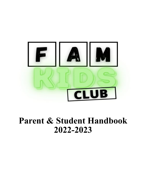

# **Parent & Student Handbook 2022-2023**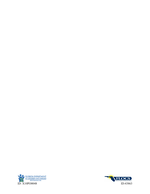

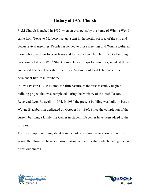## **History of FAM Church**

FAM Church launched in 1937 when an evangelist by the name of Winnie Wood came from Texas to Mulberry, set up a tent in the northwest area of the city and began revival meetings. People responded to those meetings and Winnie gathered those who gave their lives to Jesus and formed a new church. In 1938 a building was completed on NW 8<sup>th</sup> Street complete with flaps for windows, sawdust floors, and wood heaters. This established First Assembly of God Tabernacle as a permanent fixture in Mulberry.

In 1961 Pastor T.A. Williams, the fifth pasture of the first assembly begin a building project that was completed during the Ministry of the sixth Pastor, Reverend Leon Boswell in 1964. In 1980 the present building was built by Pastor Wayne Blackburn in dedicated on October 19, 1980. Since the completion of the current building a family life Center in student life center have been added to the campus.

The most important thing about being a part of a church is to know where it is going; therefore, we have a mission, vision, and core values which lead, guide, and direct our church.



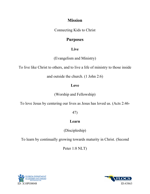## **Mission**

Connecting Kids to Christ

## **Purposes**

## **Live**

(Evangelism and Ministry)

To live like Christ to others, and to live a life of ministry to those inside

and outside the church. (1 John 2:6)

## **Love**

(Worship and Fellowship)

To love Jesus by centering our lives as Jesus has loved us. (Acts 2:46-

## 47)

## **Learn**

(Discipleship)

To learn by continually growing towards maturity in Christ. (Second

Peter 1:8 NLT)



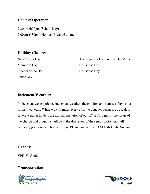#### **Hours of Operation:**

2:30pm-6:30pm (School Day) 7:00am-6:30pm (Holiday Breaks/Summer)

#### **Holiday Closures:**

New Year's Day Memorial Day Independence Day Labor Day

Thanksgiving Day and the Day After Christmas Eve Christmas Day

#### **Inclement Weather:**

In the event we experience inclement weather, the children and staff's safety is our primary concern. While we will make every effort to conduct business as usual, if severe weather hinders the normal operation of our offices/programs, the status of the church and programs will be at the discretion of the senior pastor and will generally go by Area school closings. Please contact the FAM Kids Club Director.

#### **Grades:**

VPK-5th Grade

## **Transportation:**



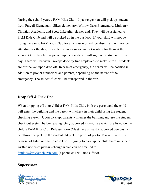During the school year, a FAM Kids Club 15 passenger van will pick up students from Purcell Elementary, Sikes elementary, Willow Oaks Elementary, Mulberry Christian Academy, and Scott Lake after classes end. They will be assigned to FAM Kids Club and will be picked up in the bus loop. If your child will not be riding the van to FAM Kids Club for any reason or will be absent and will not be attending for the day, please let us know so we are not waiting for them at the school. Once the child is picked up the van driver will sign in the student for the day. There will be visual sweeps done by two employees to make sure all students are off the van upon drop off. In case of emergency, the center will be notified in addition to proper authorities and parents, depending on the nature of the emergency. The student files will be transported in the van.

#### **Drop Off & Pick Up:**

When dropping off your child at FAM Kids Club, both the parent and the child will enter the building and the parent will check in their child using the student checking system. Upon pick up, parents will enter the building and use the student check out system before leaving. Only approved individuals which are listed on the child's FAM Kids Club Release Form (Must have at least 2 approved persons) will be allowed to pick up the student. At pick up proof of photo ID is required. If a person not listed on the Release Form is going to pick up the child there must be a written notice of pick-up change which can be emailed to famkids@myfamchurch.com (a phone call will not suffice).

#### **Supervision:**



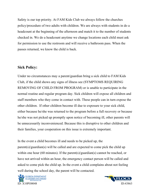Safety is our top priority. At FAM Kids Club we always follow the churches policy/procedure of two adults with children. We are always with students in do a headcount at the beginning of the afternoon and match it to the number of students checked in. We do a headcount anytime we change locations each child must ask for permission to use the restroom and will receive a bathroom pass. When the passes returned, we know the child is back.

#### **Sick Policy:**

Under no circumstances may a parent/guardian bring a sick child to FAM Kids Club, if the child shows any signs of illness see (SYMPTOMS REQUIRING REMOVING OF CHILD FROM PROGRAM) or is unable to participate in the normal routine and regular program day. Sick children will expose all children and staff members who they come in contact with. These people can in turn expose the other children. If other children become ill due to exposure to your sick child, either because he/she was returned to the program before a full recovery or because he/she was not picked up promptly upon notice of becoming ill, other parents will be unnecessarily inconvenienced. Because this is disruptive to other children and their families, your cooperation on this issue is extremely important.

In the event a child becomes ill and needs to be picked up, the parent(s)/guardian(s) will be called and are expected to come pick the child up within one hour (60 minutes). If the parent(s)/guardian(s) cannot be reached, or have not arrived within an hour, the emergency contact person will be called and asked to come pick the child up. In the event a child complains about not feeling well during the school day, the parent will be contacted.



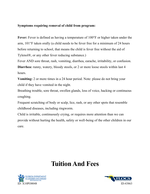#### **Symptoms requiring removal of child from program:**

**Fever:** Fever is defined as having a temperature of 100°F or higher taken under the arm, 101°F taken orally (a child needs to be fever free for a minimum of 24 hours before returning to school, that means the child is fever free without the aid of Tylenol®, or any other fever reducing substance.)

Fever AND sore throat, rash, vomiting, diarrhea, earache, irritability, or confusion. **Diarrhea:** runny, watery, bloody stools, or 2 or more loose stools within last 4 hours.

**Vomiting:** 2 or more times in a 24 hour period. Note: please do not bring your child if they have vomited in the night.

Breathing trouble, sore throat, swollen glands, loss of voice, hacking or continuous coughing.

Frequent scratching of body or scalp, lice, rash, or any other spots that resemble childhood diseases, including ringworm.

Child is irritable, continuously crying, or requires more attention than we can provide without hurting the health, safety or well-being of the other children in our care.

## **Tuition And Fees**



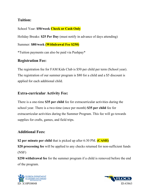## **Tuition:**

School Year: **\$50/week Check or Cash Only**

Holiday Breaks: **\$25 Per Day** (must notify in advance of days attending)

Summer: **\$80/week (Withdrawal Fee \$250)**

\*Tuition payments can also be paid via Pushpay\*

## **Registration Fee:**

The registration fee for FAM Kids Club is \$50 per child per term (School year). The registration of our summer program is \$80 for a child and a \$5 discount is applied for each additional child.

## **Extra-curricular Activity Fee:**

There is a one-time \$35 per child fee for extracurricular activities during the school year. There is a two-time (once per month) **\$35 per child** fee for extracurricular activities during the Summer Program. This fee will go towards supplies for crafts, games, and field trips.

## **Additional Fees:**

**\$2 per minute per child** that is picked up after 6:30 PM. **(CASH) \$20 processing fee** will be applied to any checks returned for non-sufficient funds (NSF)

**\$250 withdrawal fee** for the summer program if a child is removed before the end of the program.



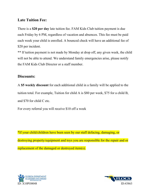## **Late Tuition Fee:**

There is a **\$20 per day** late tuition fee. FAM Kids Club tuition payment is due each Friday by 6 PM, regardless of vacation and absences. This fee must be paid each week your child is enrolled. A bounced check will have an additional fee of \$20 per incident.

\*\* If tuition payment is not made by Monday at drop off, any given week, the child will not be able to attend. We understand family emergencies arise, please notify the FAM Kids Club Director or a staff member.

### **Discounts:**

A **\$5 weekly discount** for each additional child in a family will be applied to the tuition total. For example, Tuition for child A is \$80 per week, \$75 for a child B, and \$70 for child C etc.

For every referral you will receive \$10 off a week

\*If your child/children have been seen by our staff defacing, damaging, or destroying property/equipment and toys you are responsible for the repair and or replacement of the damaged or destroyed item(s).



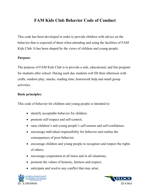## **FAM Kids Club Behavior Code of Conduct**

This code has been developed in order to provide children with advice on the behavior that is expected of them when attending and using the facilities of FAM Kids Club. It has been shaped by the views of children and young people.

#### **Purpose:**

The purpose of FAM Kids Club is to provide a safe, educational, and fun program for students after school. During each day students will fill their afternoon with crafts, outdoor play, snacks, reading time, homework help and small group activities.

#### **Basic principles:**

This code of behavior for children and young people is intended to:

- identify acceptable behavior for children.
- promote self-respect and self-control;
- raise children's and young people's self-esteem and self-confidence.
- encourage individual responsibility for behavior and outline the consequences of poor behavior;
- encourage children and young people to recognize and respect the rights of others;
- encourage cooperation at all times and in all situations;
- promote the values of honesty, fairness and respect;
- anticipate and resolve any conflict that may arise;



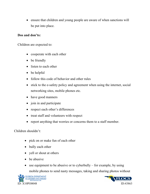• ensure that children and young people are aware of when sanctions will be put into place.

#### **Dos and don'ts:**

Children are expected to:

- cooperate with each other
- be friendly
- listen to each other
- be helpful
- follow this code of behavior and other rules
- stick to the e-safety policy and agreement when using the internet, social networking sites, mobile phones etc.
- have good manners
- join in and participate
- respect each other's differences
- treat staff and volunteers with respect
- report anything that worries or concerns them to a staff member.

#### Children shouldn't:

- pick on or make fun of each other
- bully each other
- yell or shout at others
- be abusive
- use equipment to be abusive or to cyberbully for example, by using mobile phones to send nasty messages, taking and sharing photos without



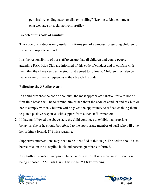permission, sending nasty emails, or "trolling" (leaving unkind comments on a webpage or social network profile).

#### **Breach of this code of conduct:**

This code of conduct is only useful if it forms part of a process for guiding children to receive appropriate support.

It is the responsibility of our staff to ensure that all children and young people attending FAM Kids Club are informed of this code of conduct and to confirm with them that they have seen, understood and agreed to follow it. Children must also be made aware of the consequences if they breach the code.

#### **Following the 3 Strike system**

- 1. If a child breaches the code of conduct, the most appropriate sanction for a minor or first-time breach will be to remind him or her about the code of conduct and ask him or her to comply with it. Children will be given the opportunity to reflect, enabling them to plan a positive response, with support from either staff or mentors;
- 2. If, having followed the above step, the child continues to exhibit inappropriate behavior, she or he should be referred to the appropriate member of staff who will give her or him a formal, 1<sup>st</sup> Strike warning;

Supportive interventions may need to be identified at this stage. The action should also be recorded in the discipline book and parents/guardians informed.

3. Any further persistent inappropriate behavior will result in a more serious sanction being imposed FAM Kids Club. This is the 2<sup>nd</sup> Strike warning.



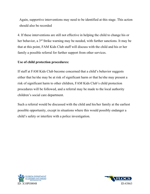Again, supportive interventions may need to be identified at this stage. This action should also be recorded

4. If these interventions are still not effective in helping the child to change his or her behavior, a 3rd Strike warning may be needed, with further sanctions. It may be that at this point, FAM Kids Club staff will discuss with the child and his or her family a possible referral for further support from other services.

#### **Use of child protection procedures:**

If staff at FAM Kids Club become concerned that a child's behavior suggests either that he/she may be at risk of significant harm or that he/she may present a risk of significant harm to other children, FAM Kids Club's child protection procedures will be followed, and a referral may be made to the local authority children's social care department.

Such a referral would be discussed with the child and his/her family at the earliest possible opportunity, except in situations where this would possibly endanger a child's safety or interfere with a police investigation.



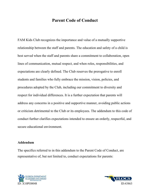## **Parent Code of Conduct**

FAM Kids Club recognizes the importance and value of a mutually supportive relationship between the staff and parents. The education and safety of a child is best served when the staff and parents share a commitment to collaboration, open lines of communication, mutual respect, and when roles, responsibilities, and expectations are clearly defined. The Club reserves the prerogative to enroll students and families who fully embrace the mission, vision, policies, and procedures adopted by the Club, including our commitment to diversity and respect for individual differences. It is a further expectation that parents will address any concerns in a positive and supportive manner, avoiding public actions or criticism detrimental to the Club or its employees. The addendum to this code of conduct further clarifies expectations intended to ensure an orderly, respectful, and secure educational environment.

#### **Addendum**

The specifics referred to in this addendum to the Parent Code of Conduct, are representative of, but not limited to, conduct expectations for parents:



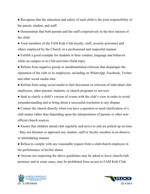• Recognize that the education and safety of each child is the joint responsibility of the parent, student, and staff.

● Demonstrate that both parents and the staff cooperatively in the best interest of the child

● Treat members of the FAM Kids Club faculty, staff, security personnel and others employed by the Church, in a professional and respectful manner

• Exhibit a good example for students in their conduct, language and behavior while on campus or at Club activities (field trips)

● Refrain from negative gossip or unsubstantiated criticism that disparages the reputation of the club or its employees, including on WhatsApp, Facebook, Twitter and other social media sites

• Refrain from using social media to fuel discontent or criticism of individual club employees, other parents, students, or church programs or services

• Seek to clarify a child's version of events with the club's view in order to avoid misunderstanding and to bring about a successful resolution to any dispute

● Contact the church directly when you have a question or need clarification of a club matter rather than depending upon the interpretation of parents or other nonofficial church sources

● Ensure that children attend club regularly and arrive to and are picked up on time - May not threaten or approach any student, staff or faculty member in an abusive or intimidating manner

• Refuse to comply with any reasonable request from a club/church employee in the performance of his/her duties

• Anyone not respecting the above guidelines may be asked to leave church/club premises and in some cases, may be prohibited from access to FAM Kids Club.